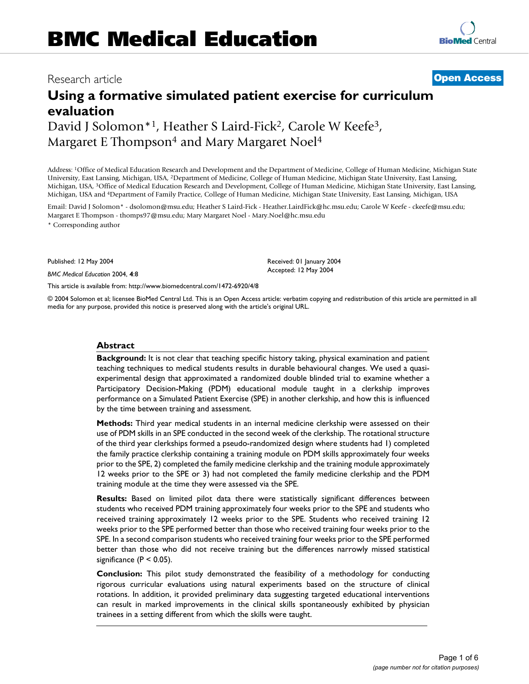# Research article **[Open Access](http://www.biomedcentral.com/info/about/charter/)**

# **Using a formative simulated patient exercise for curriculum evaluation** David J Solomon\*1, Heather S Laird-Fick<sup>2</sup>, Carole W Keefe<sup>3</sup>,

Margaret E Thompson<sup>4</sup> and Mary Margaret Noel<sup>4</sup>

Address: 1Office of Medical Education Research and Development and the Department of Medicine, College of Human Medicine, Michigan State University, East Lansing, Michigan, USA, 2Department of Medicine, College of Human Medicine, Michigan State University, East Lansing, Michigan, USA, 3Office of Medical Education Research and Development, College of Human Medicine, Michigan State University, East Lansing, Michigan, USA and 4Department of Family Practice, College of Human Medicine, Michigan State University, East Lansing, Michigan, USA

Email: David J Solomon\* - dsolomon@msu.edu; Heather S Laird-Fick - Heather.LairdFick@hc.msu.edu; Carole W Keefe - ckeefe@msu.edu; Margaret E Thompson - thomps97@msu.edu; Mary Margaret Noel - Mary.Noel@hc.msu.edu

\* Corresponding author

Published: 12 May 2004

*BMC Medical Education* 2004, **4**:8

[This article is available from: http://www.biomedcentral.com/1472-6920/4/8](http://www.biomedcentral.com/1472-6920/4/8)

© 2004 Solomon et al; licensee BioMed Central Ltd. This is an Open Access article: verbatim copying and redistribution of this article are permitted in all media for any purpose, provided this notice is preserved along with the article's original URL.

Received: 01 January 2004 Accepted: 12 May 2004

### **Abstract**

**Background:** It is not clear that teaching specific history taking, physical examination and patient teaching techniques to medical students results in durable behavioural changes. We used a quasiexperimental design that approximated a randomized double blinded trial to examine whether a Participatory Decision-Making (PDM) educational module taught in a clerkship improves performance on a Simulated Patient Exercise (SPE) in another clerkship, and how this is influenced by the time between training and assessment.

**Methods:** Third year medical students in an internal medicine clerkship were assessed on their use of PDM skills in an SPE conducted in the second week of the clerkship. The rotational structure of the third year clerkships formed a pseudo-randomized design where students had 1) completed the family practice clerkship containing a training module on PDM skills approximately four weeks prior to the SPE, 2) completed the family medicine clerkship and the training module approximately 12 weeks prior to the SPE or 3) had not completed the family medicine clerkship and the PDM training module at the time they were assessed via the SPE.

**Results:** Based on limited pilot data there were statistically significant differences between students who received PDM training approximately four weeks prior to the SPE and students who received training approximately 12 weeks prior to the SPE. Students who received training 12 weeks prior to the SPE performed better than those who received training four weeks prior to the SPE. In a second comparison students who received training four weeks prior to the SPE performed better than those who did not receive training but the differences narrowly missed statistical significance  $(P < 0.05)$ .

**Conclusion:** This pilot study demonstrated the feasibility of a methodology for conducting rigorous curricular evaluations using natural experiments based on the structure of clinical rotations. In addition, it provided preliminary data suggesting targeted educational interventions can result in marked improvements in the clinical skills spontaneously exhibited by physician trainees in a setting different from which the skills were taught.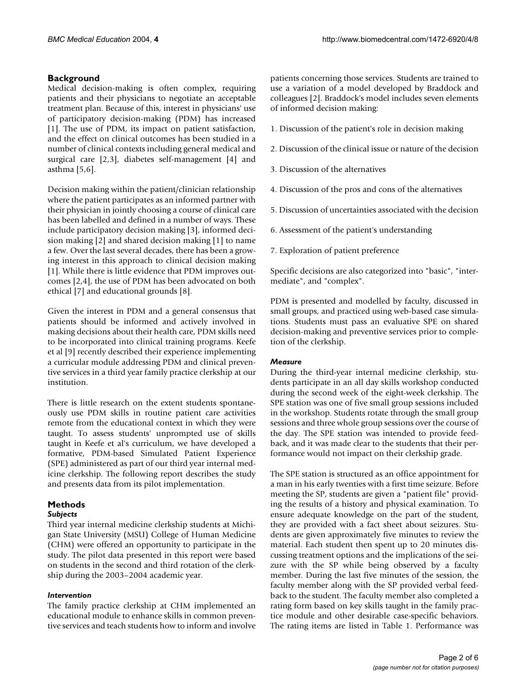# **Background**

Medical decision-making is often complex, requiring patients and their physicians to negotiate an acceptable treatment plan. Because of this, interest in physicians' use of participatory decision-making (PDM) has increased [1]. The use of PDM, its impact on patient satisfaction, and the effect on clinical outcomes has been studied in a number of clinical contexts including general medical and surgical care [2,3], diabetes self-management [4] and asthma [5,6].

Decision making within the patient/clinician relationship where the patient participates as an informed partner with their physician in jointly choosing a course of clinical care has been labelled and defined in a number of ways. These include participatory decision making [3], informed decision making [2] and shared decision making [1] to name a few. Over the last several decades, there has been a growing interest in this approach to clinical decision making [1]. While there is little evidence that PDM improves outcomes [2,4], the use of PDM has been advocated on both ethical [7] and educational grounds [8].

Given the interest in PDM and a general consensus that patients should be informed and actively involved in making decisions about their health care, PDM skills need to be incorporated into clinical training programs. Keefe et al [9] recently described their experience implementing a curricular module addressing PDM and clinical preventive services in a third year family practice clerkship at our institution.

There is little research on the extent students spontaneously use PDM skills in routine patient care activities remote from the educational context in which they were taught. To assess students' unprompted use of skills taught in Keefe et al's curriculum, we have developed a formative, PDM-based Simulated Patient Experience (SPE) administered as part of our third year internal medicine clerkship. The following report describes the study and presents data from its pilot implementation.

# **Methods**

# *Subjects*

Third year internal medicine clerkship students at Michigan State University (MSU) College of Human Medicine (CHM) were offered an opportunity to participate in the study. The pilot data presented in this report were based on students in the second and third rotation of the clerkship during the 2003–2004 academic year.

# *Intervention*

The family practice clerkship at CHM implemented an educational module to enhance skills in common preventive services and teach students how to inform and involve patients concerning those services. Students are trained to use a variation of a model developed by Braddock and colleagues [2]. Braddock's model includes seven elements of informed decision making:

- 1. Discussion of the patient's role in decision making
- 2. Discussion of the clinical issue or nature of the decision
- 3. Discussion of the alternatives
- 4. Discussion of the pros and cons of the alternatives
- 5. Discussion of uncertainties associated with the decision
- 6. Assessment of the patient's understanding
- 7. Exploration of patient preference

Specific decisions are also categorized into "basic", "intermediate", and "complex".

PDM is presented and modelled by faculty, discussed in small groups, and practiced using web-based case simulations. Students must pass an evaluative SPE on shared decision-making and preventive services prior to completion of the clerkship.

# *Measure*

During the third-year internal medicine clerkship, students participate in an all day skills workshop conducted during the second week of the eight-week clerkship. The SPE station was one of five small group sessions included in the workshop. Students rotate through the small group sessions and three whole group sessions over the course of the day. The SPE station was intended to provide feedback, and it was made clear to the students that their performance would not impact on their clerkship grade.

The SPE station is structured as an office appointment for a man in his early twenties with a first time seizure. Before meeting the SP, students are given a "patient file" providing the results of a history and physical examination. To ensure adequate knowledge on the part of the student, they are provided with a fact sheet about seizures. Students are given approximately five minutes to review the material. Each student then spent up to 20 minutes discussing treatment options and the implications of the seizure with the SP while being observed by a faculty member. During the last five minutes of the session, the faculty member along with the SP provided verbal feedback to the student. The faculty member also completed a rating form based on key skills taught in the family practice module and other desirable case-specific behaviors. The rating items are listed in Table [1.](#page-2-0) Performance was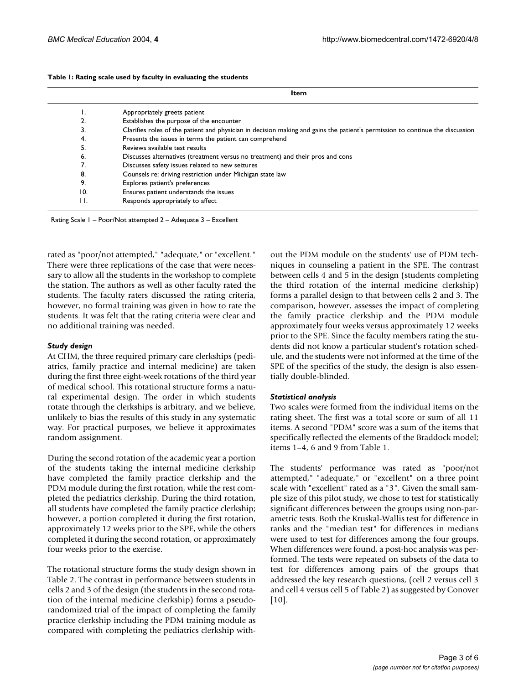<span id="page-2-0"></span>

|  | Table 1: Rating scale used by faculty in evaluating the students |
|--|------------------------------------------------------------------|
|--|------------------------------------------------------------------|

**Item**

| .,  | Appropriately greets patient                                                                                                  |
|-----|-------------------------------------------------------------------------------------------------------------------------------|
| 2.  | Establishes the purpose of the encounter                                                                                      |
| 3.  | Clarifies roles of the patient and physician in decision making and gains the patient's permission to continue the discussion |
| 4.  | Presents the issues in terms the patient can comprehend                                                                       |
| 5.  | Reviews available test results                                                                                                |
| 6.  | Discusses alternatives (treatment versus no treatment) and their pros and cons                                                |
|     | Discusses safety issues related to new seizures                                                                               |
| 8.  | Counsels re: driving restriction under Michigan state law                                                                     |
| 9.  | Explores patient's preferences                                                                                                |
| 10. | Ensures patient understands the issues                                                                                        |
| H.  | Responds appropriately to affect                                                                                              |

Rating Scale 1 – Poor/Not attempted 2 – Adequate 3 – Excellent

rated as "poor/not attempted," "adequate," or "excellent." There were three replications of the case that were necessary to allow all the students in the workshop to complete the station. The authors as well as other faculty rated the students. The faculty raters discussed the rating criteria, however, no formal training was given in how to rate the students. It was felt that the rating criteria were clear and no additional training was needed.

#### *Study design*

At CHM, the three required primary care clerkships (pediatrics, family practice and internal medicine) are taken during the first three eight-week rotations of the third year of medical school. This rotational structure forms a natural experimental design. The order in which students rotate through the clerkships is arbitrary, and we believe, unlikely to bias the results of this study in any systematic way. For practical purposes, we believe it approximates random assignment.

During the second rotation of the academic year a portion of the students taking the internal medicine clerkship have completed the family practice clerkship and the PDM module during the first rotation, while the rest completed the pediatrics clerkship. During the third rotation, all students have completed the family practice clerkship; however, a portion completed it during the first rotation, approximately 12 weeks prior to the SPE, while the others completed it during the second rotation, or approximately four weeks prior to the exercise.

The rotational structure forms the study design shown in Table [2.](#page-3-0) The contrast in performance between students in cells 2 and 3 of the design (the students in the second rotation of the internal medicine clerkship) forms a pseudorandomized trial of the impact of completing the family practice clerkship including the PDM training module as compared with completing the pediatrics clerkship without the PDM module on the students' use of PDM techniques in counseling a patient in the SPE. The contrast between cells 4 and 5 in the design (students completing the third rotation of the internal medicine clerkship) forms a parallel design to that between cells 2 and 3. The comparison, however, assesses the impact of completing the family practice clerkship and the PDM module approximately four weeks versus approximately 12 weeks prior to the SPE. Since the faculty members rating the students did not know a particular student's rotation schedule, and the students were not informed at the time of the SPE of the specifics of the study, the design is also essentially double-blinded.

### *Statistical analysis*

Two scales were formed from the individual items on the rating sheet. The first was a total score or sum of all 11 items. A second "PDM" score was a sum of the items that specifically reflected the elements of the Braddock model; items 1–4, 6 and 9 from Table [1](#page-2-0).

The students' performance was rated as "poor/not attempted," "adequate," or "excellent" on a three point scale with "excellent" rated as a "3". Given the small sample size of this pilot study, we chose to test for statistically significant differences between the groups using non-parametric tests. Both the Kruskal-Wallis test for difference in ranks and the "median test" for differences in medians were used to test for differences among the four groups. When differences were found, a post-hoc analysis was performed. The tests were repeated on subsets of the data to test for differences among pairs of the groups that addressed the key research questions, (cell 2 versus cell 3 and cell 4 versus cell 5 of Table [2](#page-3-0)) as suggested by Conover [10].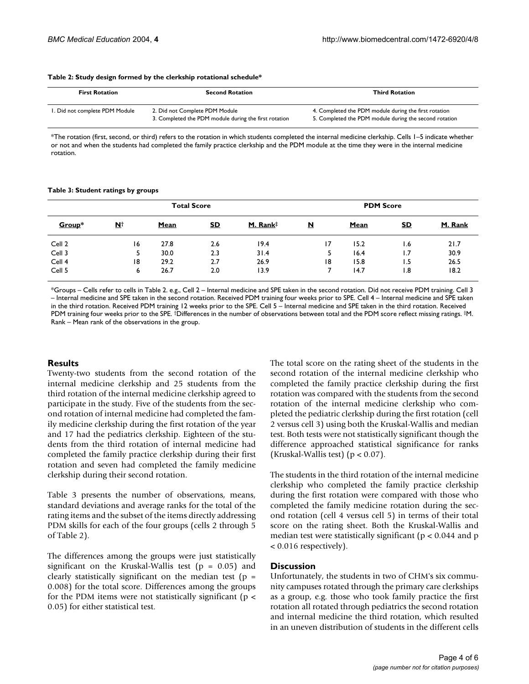| <b>First Rotation</b>                                                                                                     | <b>Second Rotation</b> | <b>Third Rotation</b>                                                                                           |  |  |
|---------------------------------------------------------------------------------------------------------------------------|------------------------|-----------------------------------------------------------------------------------------------------------------|--|--|
| 2. Did not Complete PDM Module<br>I. Did not complete PDM Module<br>3. Completed the PDM module during the first rotation |                        | 4. Completed the PDM module during the first rotation<br>5. Completed the PDM module during the second rotation |  |  |

<span id="page-3-0"></span>**Table 2: Study design formed by the clerkship rotational schedule\***

\*The rotation (first, second, or third) refers to the rotation in which students completed the internal medicine clerkship. Cells 1–5 indicate whether or not and when the students had completed the family practice clerkship and the PDM module at the time they were in the internal medicine rotation.

#### <span id="page-3-1"></span>**Table 3: Student ratings by groups**

| <b>Total Score</b> |            |      |           |          | <b>PDM Score</b>        |      |                  |         |
|--------------------|------------|------|-----------|----------|-------------------------|------|------------------|---------|
| Group*             | <u>N</u> † | Mean | <u>SD</u> | M. Rank‡ | $\overline{\mathbf{N}}$ | Mean | <u>SD</u>        | M. Rank |
| Cell 2             | 16         | 27.8 | 2.6       | 19.4     | $\overline{17}$         | 15.2 | 6. ا             | 21.7    |
| Cell 3             |            | 30.0 | 2.3       | 31.4     |                         | 16.4 | 1.7              | 30.9    |
| Cell 4             | 18         | 29.2 | 2.7       | 26.9     | 18                      | 15.8 | 1.5              | 26.5    |
| Cell 5             | 6          | 26.7 | 2.0       | 13.9     |                         | 14.7 | $\overline{8}$ . | 18.2    |

\*Groups – Cells refer to cells in Table [2](#page-3-0). e.g., Cell 2 – Internal medicine and SPE taken in the second rotation. Did not receive PDM training. Cell 3 – Internal medicine and SPE taken in the second rotation. Received PDM training four weeks prior to SPE. Cell 4 – Internal medicine and SPE taken in the third rotation. Received PDM training 12 weeks prior to the SPE. Cell 5 – Internal medicine and SPE taken in the third rotation. Received PDM training four weeks prior to the SPE. †Differences in the number of observations between total and the PDM score reflect missing ratings. ‡M. Rank – Mean rank of the observations in the group.

#### **Results**

Twenty-two students from the second rotation of the internal medicine clerkship and 25 students from the third rotation of the internal medicine clerkship agreed to participate in the study. Five of the students from the second rotation of internal medicine had completed the family medicine clerkship during the first rotation of the year and 17 had the pediatrics clerkship. Eighteen of the students from the third rotation of internal medicine had completed the family practice clerkship during their first rotation and seven had completed the family medicine clerkship during their second rotation.

Table [3](#page-3-1) presents the number of observations, means, standard deviations and average ranks for the total of the rating items and the subset of the items directly addressing PDM skills for each of the four groups (cells 2 through 5 of Table [2](#page-3-0)).

The differences among the groups were just statistically significant on the Kruskal-Wallis test ( $p = 0.05$ ) and clearly statistically significant on the median test ( $p =$ 0.008) for the total score. Differences among the groups for the PDM items were not statistically significant ( $p <$ 0.05) for either statistical test.

The total score on the rating sheet of the students in the second rotation of the internal medicine clerkship who completed the family practice clerkship during the first rotation was compared with the students from the second rotation of the internal medicine clerkship who completed the pediatric clerkship during the first rotation (cell 2 versus cell 3) using both the Kruskal-Wallis and median test. Both tests were not statistically significant though the difference approached statistical significance for ranks (Kruskal-Wallis test)  $(p < 0.07)$ .

The students in the third rotation of the internal medicine clerkship who completed the family practice clerkship during the first rotation were compared with those who completed the family medicine rotation during the second rotation (cell 4 versus cell 5) in terms of their total score on the rating sheet. Both the Kruskal-Wallis and median test were statistically significant ( $p < 0.044$  and  $p$ ) < 0.016 respectively).

#### **Discussion**

Unfortunately, the students in two of CHM's six community campuses rotated through the primary care clerkships as a group, e.g. those who took family practice the first rotation all rotated through pediatrics the second rotation and internal medicine the third rotation, which resulted in an uneven distribution of students in the different cells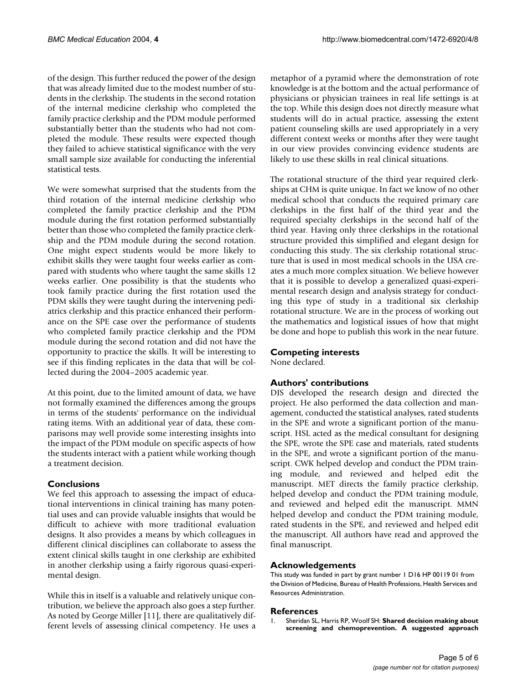of the design. This further reduced the power of the design that was already limited due to the modest number of students in the clerkship. The students in the second rotation of the internal medicine clerkship who completed the family practice clerkship and the PDM module performed substantially better than the students who had not completed the module. These results were expected though they failed to achieve statistical significance with the very small sample size available for conducting the inferential statistical tests.

We were somewhat surprised that the students from the third rotation of the internal medicine clerkship who completed the family practice clerkship and the PDM module during the first rotation performed substantially better than those who completed the family practice clerkship and the PDM module during the second rotation. One might expect students would be more likely to exhibit skills they were taught four weeks earlier as compared with students who where taught the same skills 12 weeks earlier. One possibility is that the students who took family practice during the first rotation used the PDM skills they were taught during the intervening pediatrics clerkship and this practice enhanced their performance on the SPE case over the performance of students who completed family practice clerkship and the PDM module during the second rotation and did not have the opportunity to practice the skills. It will be interesting to see if this finding replicates in the data that will be collected during the 2004–2005 academic year.

At this point, due to the limited amount of data, we have not formally examined the differences among the groups in terms of the students' performance on the individual rating items. With an additional year of data, these comparisons may well provide some interesting insights into the impact of the PDM module on specific aspects of how the students interact with a patient while working though a treatment decision.

# **Conclusions**

We feel this approach to assessing the impact of educational interventions in clinical training has many potential uses and can provide valuable insights that would be difficult to achieve with more traditional evaluation designs. It also provides a means by which colleagues in different clinical disciplines can collaborate to assess the extent clinical skills taught in one clerkship are exhibited in another clerkship using a fairly rigorous quasi-experimental design.

While this in itself is a valuable and relatively unique contribution, we believe the approach also goes a step further. As noted by George Miller [11], there are qualitatively different levels of assessing clinical competency. He uses a

metaphor of a pyramid where the demonstration of rote knowledge is at the bottom and the actual performance of physicians or physician trainees in real life settings is at the top. While this design does not directly measure what students will do in actual practice, assessing the extent patient counseling skills are used appropriately in a very different context weeks or months after they were taught in our view provides convincing evidence students are likely to use these skills in real clinical situations.

The rotational structure of the third year required clerkships at CHM is quite unique. In fact we know of no other medical school that conducts the required primary care clerkships in the first half of the third year and the required specialty clerkships in the second half of the third year. Having only three clerkships in the rotational structure provided this simplified and elegant design for conducting this study. The six clerkship rotational structure that is used in most medical schools in the USA creates a much more complex situation. We believe however that it is possible to develop a generalized quasi-experimental research design and analysis strategy for conducting this type of study in a traditional six clerkship rotational structure. We are in the process of working out the mathematics and logistical issues of how that might be done and hope to publish this work in the near future.

# **Competing interests**

None declared.

# **Authors' contributions**

DJS developed the research design and directed the project. He also performed the data collection and management, conducted the statistical analyses, rated students in the SPE and wrote a significant portion of the manuscript. HSL acted as the medical consultant for designing the SPE, wrote the SPE case and materials, rated students in the SPE, and wrote a significant portion of the manuscript. CWK helped develop and conduct the PDM training module, and reviewed and helped edit the manuscript. MET directs the family practice clerkship, helped develop and conduct the PDM training module, and reviewed and helped edit the manuscript. MMN helped develop and conduct the PDM training module, rated students in the SPE, and reviewed and helped edit the manuscript. All authors have read and approved the final manuscript.

# **Acknowledgements**

This study was funded in part by grant number 1 D16 HP 00119 01 from the Division of Medicine, Bureau of Health Professions, Health Services and Resources Administration.

### **References**

1. Sheridan SL, Harris RP, Woolf SH: **[Shared decision making about](http://www.ncbi.nlm.nih.gov/entrez/query.fcgi?cmd=Retrieve&db=PubMed&dopt=Abstract&list_uids=10.1016/j.amepre.2003.09.011) [screening and chemoprevention. A suggested approach](http://www.ncbi.nlm.nih.gov/entrez/query.fcgi?cmd=Retrieve&db=PubMed&dopt=Abstract&list_uids=10.1016/j.amepre.2003.09.011)**